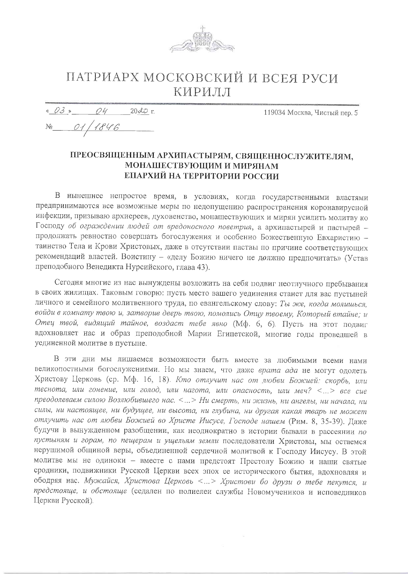

## ПАТРИАРХ МОСКОВСКИЙ И ВСЕЯ РУСИ КИРИЛЛ

 $8038704$  $2000$  r

119034 Москва, Чистый пер. 5

No 01/1846

## ПРЕОСВЯЩЕННЫМ АРХИПАСТЫРЯМ, СВЯЩЕННОСЛУЖИТЕЛЯМ, МОНАШЕСТВУЮЩИМ И МИРЯНАМ ЕПАРХИЙ НА ТЕРРИТОРИИ РОССИИ

В нынешнее непростое время, в условиях, когда государственными властями предпринимаются все возможные меры по недопущению распространения коронавирусной инфекции, призываю архиереев, духовенство, монашествующих и мирян усилить молитву ко Господу об ограждении людей от вредоносного поветрия, а архипастырей и пастырей продолжать ревностно совершать богослужения и особенно Божественную Евхаристию таинство Тела и Крови Христовых, даже в отсутствии паствы по причине соответствующих рекомендаций властей. Воистину - «делу Божию ничего не должно предпочитать» (Устав преподобного Венедикта Нурсийского, глава 43).

Сегодня многие из нас вынуждены возложить на себя подвиг неотлучного пребывания в своих жилищах. Таковым говорю: пусть место вашего уединения станет для вас пустыней личного и семейного молитвенного труда, по евангельскому слову: Ты же, когда молишься, войди в комнату твою и, затворив дверь твою, помолись Отцу твоему, Который втайне; и Отец твой, видящий тайное, воздаст тебе явно (Мф. 6, 6). Пусть на этот подвиг вдохновляет нас и образ преподобной Марии Египетской, многие годы проведшей в уединенной молитве в пустыне.

В эти дни мы лишаемся возможности быть вместе за любимыми всеми нами великопостными богослужениями. Но мы знаем, что даже врата ада не могут одолеть Христову Церковь (ср. Мф. 16, 18). Кто отлучит нас от любви Божией: скорбь, или теснота, или гонение, или голод, или нагота, или опасность, или меч? <...> все сие преодолеваем силою Возлюбившего нас. <...> Ни смерть, ни жизнь, ни ангелы, ни начала, ни силы, ни настоящее, ни будущее, ни высота, ни глубина, ни другая какая тварь не может отлучить нас от любви Божией во Христе Иисусе, Господе нашем (Рим. 8, 35-39). Даже будучи в вынужденном разобщении, как неоднократно в истории бывали в рассеянии по пустыням и горам, по пещерам и ущельям земли последователи Христовы, мы остаемся нерушимой общиной веры, объединенной сердечной молитвой к Господу Иисусу. В этой молитве мы не одиноки - вместе с нами предстоят Престолу Божию и наши святые сродники, подвижники Русской Церкви всех эпох ее исторического бытия, вдохновляя и ободряя нас. Мужайся, Христова Церковь <...> Христови бо друзи о тебе пекутся, и предстояще, и обстояще (седален по полиелеи службы Новомучеников и исповедников Церкви Русской).